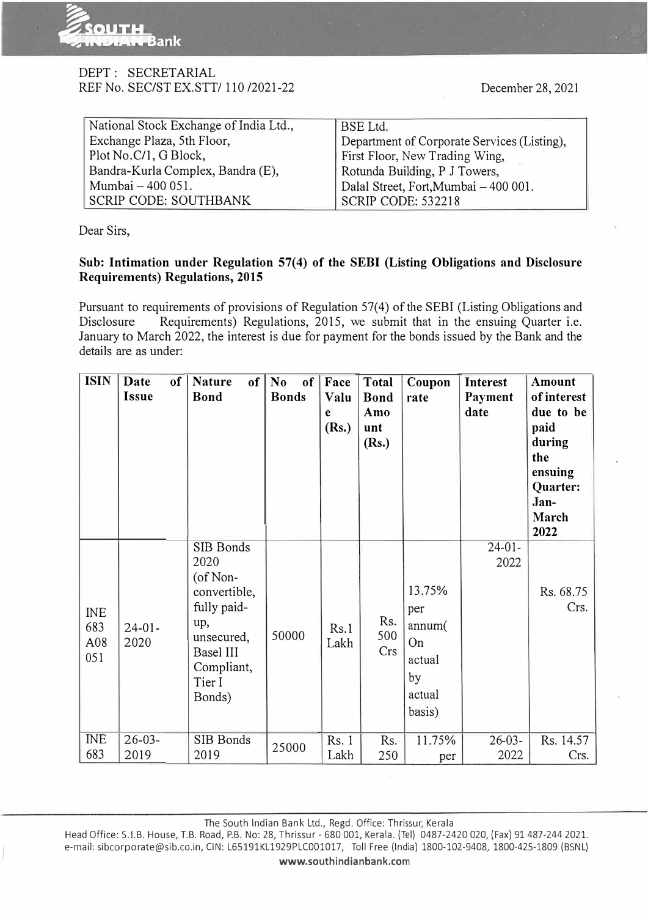

## DEPT : SECRETARIAL REF No. SEC/ST EX.SIT/ 110 /2021-22

. . . �. ,. .

 $\mathbb{R}^3$ 

| National Stock Exchange of India Ltd., | BSE Ltd.                                    |
|----------------------------------------|---------------------------------------------|
| Exchange Plaza, 5th Floor,             | Department of Corporate Services (Listing), |
| Plot No.C/1, G Block,                  | First Floor, New Trading Wing,              |
| Bandra-Kurla Complex, Bandra (E),      | Rotunda Building, P J Towers,               |
| Mumbai - 400 051.                      | Dalal Street, Fort, Mumbai - 400 001.       |
| <b>SCRIP CODE: SOUTHBANK</b>           | SCRIP CODE: 532218                          |

Dear Sirs,

## **Sub: Intimation under Regulation 57(4) of the SEBI (Listing Obligations and Disclosure Requirements) Regulations, 2015**

Pursuant to requirements of provisions of Regulation 57(4) of the SEBI (Listing Obligations and Disclosure Requirements) Regulations, 2015, we submit that in the ensuing Quarter i.e. January to March 2022, the interest is due for payment for the bonds issued by the Bank and the details are as under:

| <b>ISIN</b>                     | Date<br>of<br>Issue | of<br><b>Nature</b><br><b>Bond</b>                                                                                                  | No<br>$\bf{0}$ f<br><b>Bonds</b> | Face<br>Valu<br>e<br>(Rs.) | Total<br><b>Bond</b><br>Amo<br>unt<br>(Rs.) | Coupon<br>rate                                                    | Interest<br>Payment<br>date | Amount<br>of interest<br>due to be<br>paid<br>during<br>the<br>ensuing<br>Quarter:<br>Jan-<br>March<br>2022 |
|---------------------------------|---------------------|-------------------------------------------------------------------------------------------------------------------------------------|----------------------------------|----------------------------|---------------------------------------------|-------------------------------------------------------------------|-----------------------------|-------------------------------------------------------------------------------------------------------------|
| <b>INE</b><br>683<br>A08<br>051 | $24-01-$<br>2020    | SIB Bonds<br>2020<br>$($ of Non-<br>convertible,<br>fully paid-<br>up,<br>unsecured,<br>Basel III<br>Compliant,<br>Tier I<br>Bonds) | 50000                            | Rs.1<br>Lakh               | Rs.<br>500<br>Crs                           | 13.75%<br>per<br>annum(<br>On<br>actual<br>by<br>actual<br>basis) | $24-01-$<br>2022            | Rs. 68.75<br>Crs.                                                                                           |
| <b>INE</b><br>683               | $26 - 03 -$<br>2019 | SIB Bonds<br>2019                                                                                                                   | 25000                            | Rs. 1<br>Lakh              | Rs.<br>250                                  | 11.75%<br>per                                                     | $26-03-$<br>2022            | Rs. 14.57<br>Crs.                                                                                           |